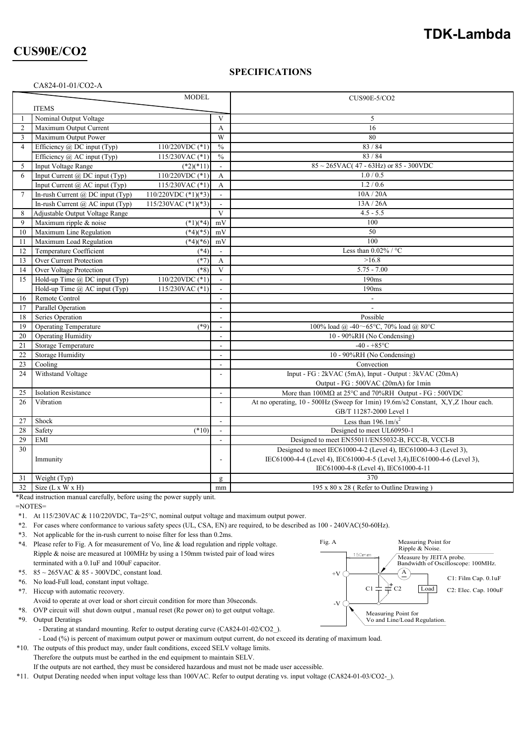# **TDK-Lambda**

# **CUS90E/CO2**

CA824-01-01/CO2-A

#### **SPECIFICATIONS**

|                | <b>MODEL</b>                                                                   |                              | <b>CUS90E-5/CO2</b>                                                               |  |
|----------------|--------------------------------------------------------------------------------|------------------------------|-----------------------------------------------------------------------------------|--|
|                | <b>ITEMS</b>                                                                   |                              |                                                                                   |  |
| $\mathbf{1}$   | Nominal Output Voltage                                                         | $\mathbf{V}$                 | 5                                                                                 |  |
| $\overline{2}$ | Maximum Output Current                                                         | A                            | 16                                                                                |  |
| 3              | Maximum Output Power<br>W                                                      |                              | 80                                                                                |  |
| $\overline{4}$ | Efficiency @ DC input (Typ)<br>110/220VDC (*1)                                 | $\sqrt[0]{\hskip -1.2pt} _0$ | 83/84                                                                             |  |
|                | Efficiency @ AC input (Typ)<br>115/230VAC (*1)<br>$\sqrt[0]{\hskip -1.2pt} _0$ |                              | 83 / 84                                                                           |  |
| 5              | Input Voltage Range<br>$(*2)(*11)$                                             |                              | $85 \sim 265$ VAC(47 - 63Hz) or 85 - 300VDC                                       |  |
| 6              | Input Current @ DC input (Typ)<br>110/220VDC (*1)                              | A                            | 1.0 / 0.5                                                                         |  |
|                | Input Current @ AC input (Typ)<br>115/230VAC (*1)                              | $\mathbf{A}$                 | 1.2 / 0.6                                                                         |  |
| $\overline{7}$ | In-rush Current @ DC input (Typ)<br>110/220VDC $(*1)(*3)$                      | $\mathbf{r}$                 | 10A / 20A                                                                         |  |
|                | In-rush Current $(a)$ AC input (Typ)<br>115/230VAC $(*1)(*3)$                  | $\blacksquare$               | 13A/26A                                                                           |  |
| 8              | Adjustable Output Voltage Range                                                | $\mathbf{V}$                 | $4.5 - 5.5$                                                                       |  |
| 9              | Maximum ripple & noise<br>$(*1)(*4)$<br>mV                                     |                              | 100                                                                               |  |
| 10             | Maximum Line Regulation<br>$(*4)(*5)$                                          | mV                           | 50                                                                                |  |
| 11             | Maximum Load Regulation<br>$(*4)(*6)$<br>mV                                    |                              | 100                                                                               |  |
| 12             | Temperature Coefficient<br>$(*4)$<br>$\sim$                                    |                              | Less than $0.02\%$ / °C                                                           |  |
| 13             | Over Current Protection<br>$(*7)$<br>$\mathbf{A}$                              |                              | >16.8                                                                             |  |
| 14             | Over Voltage Protection<br>$(*8)$                                              | $\mathbf{V}$                 | $5.75 - 7.00$                                                                     |  |
| 15             | Hold-up Time @ DC input (Typ)<br>110/220VDC (*1)                               | $\blacksquare$               | 190ms                                                                             |  |
|                | Hold-up Time @ AC input (Typ)<br>115/230VAC (*1)                               | $\mathbf{r}$                 | 190ms                                                                             |  |
| 16             | Remote Control                                                                 |                              |                                                                                   |  |
| 17             | Parallel Operation                                                             |                              | $\overline{\phantom{a}}$                                                          |  |
| 18             | Series Operation                                                               |                              | Possible                                                                          |  |
| 19             | <b>Operating Temperature</b><br>$(*9)$                                         |                              | 100% load @ -40~65°C, 70% load @ 80°C                                             |  |
| 20             | <b>Operating Humidity</b>                                                      |                              | 10 - 90%RH (No Condensing)                                                        |  |
| 21             | Storage Temperature<br>$\mathbf{r}$                                            |                              | $-40 - +85$ °C                                                                    |  |
| 22             | <b>Storage Humidity</b><br>$\blacksquare$                                      |                              | 10 - 90%RH (No Condensing)                                                        |  |
| 23             | Cooling<br>$\overline{\phantom{a}}$                                            |                              | Convection                                                                        |  |
| 24             | Withstand Voltage                                                              |                              | Input - FG : 2kVAC (5mA), Input - Output : 3kVAC (20mA)                           |  |
|                |                                                                                |                              | Output - FG : 500VAC (20mA) for 1min                                              |  |
| 25             | <b>Isolation Resistance</b>                                                    |                              | More than 100MΩ at 25°C and 70%RH Output - FG : 500VDC                            |  |
| 26             | Vibration                                                                      |                              | At no operating, 10 - 500Hz (Sweep for 1min) 19.6m/s2 Constant, X,Y,Z 1hour each. |  |
|                |                                                                                |                              | GB/T 11287-2000 Level 1                                                           |  |
| 27             | Shock                                                                          |                              | Less than $196.1 \text{m/s}^2$                                                    |  |
| 28             | Safety<br>$(*10)$                                                              |                              | Designed to meet UL60950-1                                                        |  |
| 29             | <b>EMI</b>                                                                     |                              | Designed to meet EN55011/EN55032-B, FCC-B, VCCI-B                                 |  |
| 30             |                                                                                |                              | Designed to meet IEC61000-4-2 (Level 4), IEC61000-4-3 (Level 3),                  |  |
|                | Immunity                                                                       |                              | IEC61000-4-4 (Level 4), IEC61000-4-5 (Level 3,4), IEC61000-4-6 (Level 3),         |  |
|                |                                                                                |                              | IEC61000-4-8 (Level 4), IEC61000-4-11                                             |  |
| 31             | Weight (Typ)                                                                   | g                            | 370                                                                               |  |
| 32             | Size $(L x W x H)$<br>mm                                                       |                              | 195 x 80 x 28 (Refer to Outline Drawing)                                          |  |
|                |                                                                                |                              |                                                                                   |  |

\*Read instruction manual carefully, before using the power supply unit.

=NOTES=

\*1. At 115/230VAC & 110/220VDC, Ta=25°C, nominal output voltage and maximum output power.

\*2. For cases where conformance to various safety specs (UL, CSA, EN) are required, to be described as 100 - 240VAC(50-60Hz).

\*3. Not applicable for the in-rush current to noise filter for less than 0.2ms.

\*4. Please refer to Fig. A for measurement of Vo, line & load regulation and ripple voltage. Ripple & noise are measured at 100MHz by using a 150mm twisted pair of load wires terminated with a 0.1uF and 100uF capacitor.

- \*5. 85 ~ 265VAC & 85 300VDC, constant load.
- \*6. No load-Full load, constant input voltage.
- \*7. Hiccup with automatic recovery.
- Avoid to operate at over load or short circuit condition for more than 30seconds.
- \*8. OVP circuit will shut down output , manual reset (Re power on) to get output voltage.
- \*9. Output Deratings
	- Derating at standard mounting. Refer to output derating curve (CA824-01-02/CO2).

- Load (%) is percent of maximum output power or maximum output current, do not exceed its derating of maximum load.

- \*10. The outputs of this product may, under fault conditions, exceed SELV voltage limits. Therefore the outputs must be earthed in the end equipment to maintain SELV.
- If the outputs are not earthed, they must be considered hazardous and must not be made user accessible.

\*11. Output Derating needed when input voltage less than 100VAC. Refer to output derating vs. input voltage (CA824-01-03/CO2-\_).

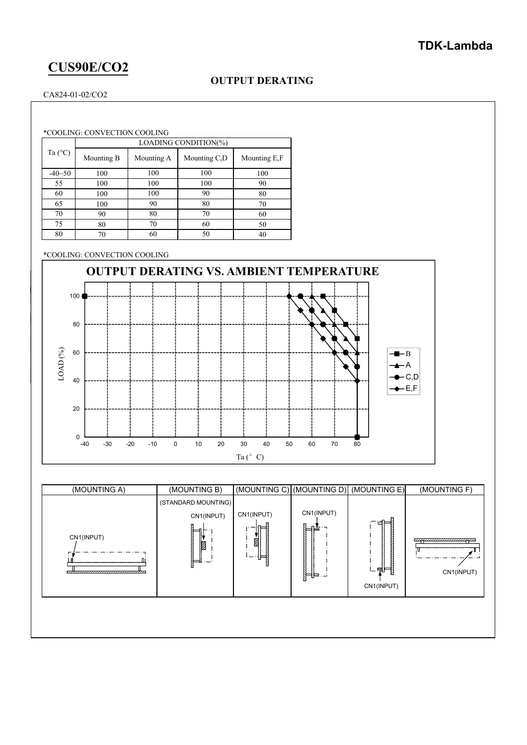### **TDK-Lambda**

# **CUS90E/CO2**

### **OUTPUT DERATING**

CA824-01-02/CO2

\*COOLING: CONVECTION COOLING

|                  | LOADING CONDITION(%) |            |              |              |  |  |
|------------------|----------------------|------------|--------------|--------------|--|--|
| Ta $(^{\circ}C)$ | Mounting B           | Mounting A | Mounting C,D | Mounting E,F |  |  |
| $-40-50$         | 100                  | 100        | 100          | 100          |  |  |
| 55               | 100                  | 100        | 100          | 90           |  |  |
| 60               | 100                  | 100        | 90           | 80           |  |  |
| 65               | 100                  | 90         | 80           | 70           |  |  |
| 70               | 90                   | 80         | 70           | 60           |  |  |
| 75               | 80                   | 70         | 60           | 50           |  |  |
| 80               | 70                   | 60         | 50           | 40           |  |  |

\*COOLING: CONVECTION COOLING